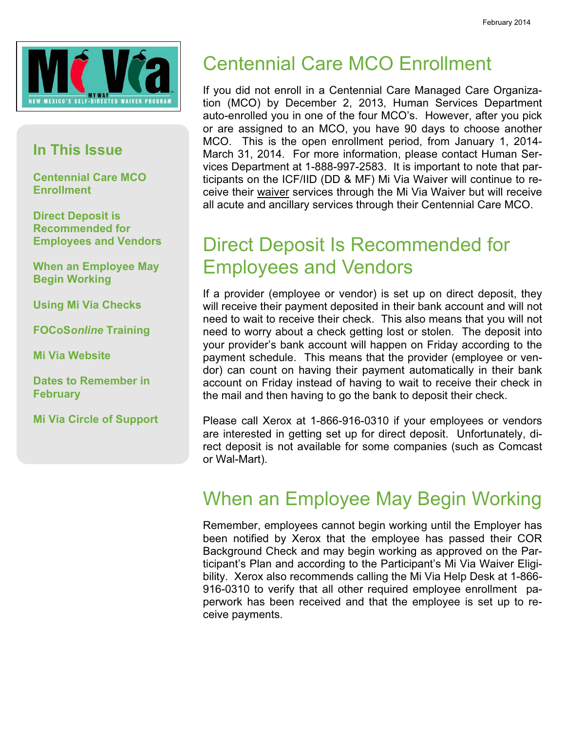

#### In This Issue

Centennial Care MCO **Enrollment** 

Direct Deposit is Recommended for Employees and Vendors

When an Employee May Begin Working

Using Mi Via Checks

FOCoSonline Training

Mi Via Website

Dates to Remember in **February** 

Mi Via Circle of Support

## Centennial Care MCO Enrollment

If you did not enroll in a Centennial Care Managed Care Organization (MCO) by December 2, 2013, Human Services Department auto-enrolled you in one of the four MCO's. However, after you pick or are assigned to an MCO, you have 90 days to choose another MCO. This is the open enrollment period, from January 1, 2014- March 31, 2014. For more information, please contact Human Services Department at 1-888-997-2583. It is important to note that participants on the ICF/IID (DD & MF) Mi Via Waiver will continue to receive their waiver services through the Mi Via Waiver but will receive all acute and ancillary services through their Centennial Care MCO.

#### Direct Deposit Is Recommended for Employees and Vendors

If a provider (employee or vendor) is set up on direct deposit, they will receive their payment deposited in their bank account and will not need to wait to receive their check. This also means that you will not need to worry about a check getting lost or stolen. The deposit into your provider's bank account will happen on Friday according to the payment schedule. This means that the provider (employee or vendor) can count on having their payment automatically in their bank account on Friday instead of having to wait to receive their check in the mail and then having to go the bank to deposit their check.

Please call Xerox at 1-866-916-0310 if your employees or vendors are interested in getting set up for direct deposit. Unfortunately, direct deposit is not available for some companies (such as Comcast or Wal-Mart).

#### When an Employee May Begin Working

Remember, employees cannot begin working until the Employer has been notified by Xerox that the employee has passed their COR Background Check and may begin working as approved on the Participant's Plan and according to the Participant's Mi Via Waiver Eligibility. Xerox also recommends calling the Mi Via Help Desk at 1-866- 916-0310 to verify that all other required employee enrollment paperwork has been received and that the employee is set up to receive payments.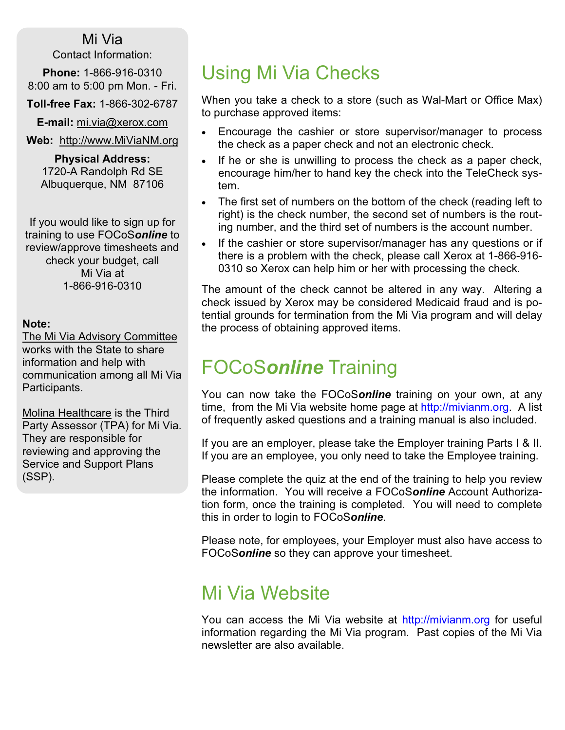#### Mi Via

Contact Information:

Phone: 1-866-916-0310 8:00 am to 5:00 pm Mon. - Fri.

Toll-free Fax: 1-866-302-6787

E-mail: mi.via@xerox.com

Web: http://www.MiViaNM.org

Physical Address: 1720-A Randolph Rd SE Albuquerque, NM 87106

If you would like to sign up for training to use FOCoSonline to review/approve timesheets and check your budget, call Mi Via at 1-866-916-0310

#### Note:

The Mi Via Advisory Committee works with the State to share information and help with communication among all Mi Via Participants.

Molina Healthcare is the Third Party Assessor (TPA) for Mi Via. They are responsible for reviewing and approving the Service and Support Plans (SSP).

#### Using Mi Via Checks

When you take a check to a store (such as Wal-Mart or Office Max) to purchase approved items:

- Encourage the cashier or store supervisor/manager to process the check as a paper check and not an electronic check.
- If he or she is unwilling to process the check as a paper check, encourage him/her to hand key the check into the TeleCheck system.
- The first set of numbers on the bottom of the check (reading left to right) is the check number, the second set of numbers is the routing number, and the third set of numbers is the account number.
- If the cashier or store supervisor/manager has any questions or if there is a problem with the check, please call Xerox at 1-866-916- 0310 so Xerox can help him or her with processing the check.

The amount of the check cannot be altered in any way. Altering a check issued by Xerox may be considered Medicaid fraud and is potential grounds for termination from the Mi Via program and will delay the process of obtaining approved items.

#### FOCoSonline Training

You can now take the FOCoSonline training on your own, at any time, from the Mi Via website home page at http://mivianm.org. A list of frequently asked questions and a training manual is also included.

If you are an employer, please take the Employer training Parts I & II. If you are an employee, you only need to take the Employee training.

Please complete the quiz at the end of the training to help you review the information. You will receive a FOCoSonline Account Authorization form, once the training is completed. You will need to complete this in order to login to FOCoSonline.

Please note, for employees, your Employer must also have access to FOCoSonline so they can approve your timesheet.

#### Mi Via Website

You can access the Mi Via website at http://mivianm.org for useful information regarding the Mi Via program. Past copies of the Mi Via newsletter are also available.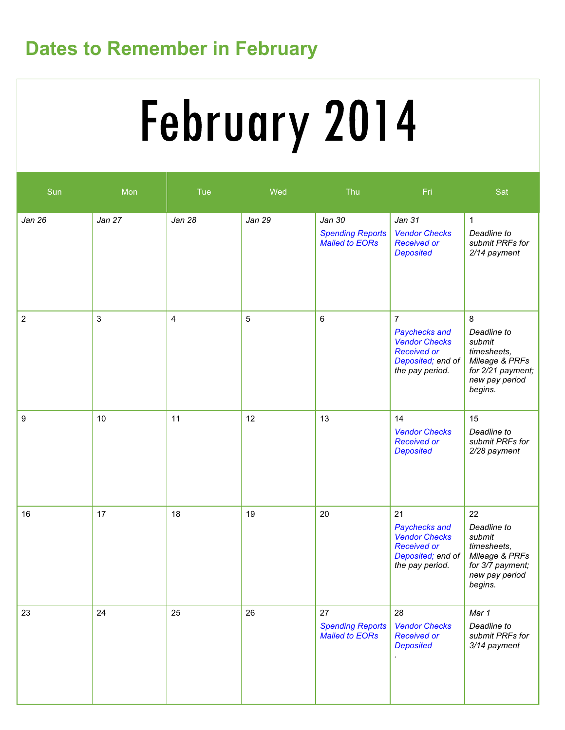### Dates to Remember in February

# February 2014

| Sun            | Mon          | Tue                     | Wed    | Thu                                                        | Fri                                                                                                                   | Sat                                                                                                           |
|----------------|--------------|-------------------------|--------|------------------------------------------------------------|-----------------------------------------------------------------------------------------------------------------------|---------------------------------------------------------------------------------------------------------------|
| Jan 26         | Jan 27       | <b>Jan 28</b>           | Jan 29 | Jan 30<br><b>Spending Reports</b><br><b>Mailed to EORs</b> | Jan 31<br><b>Vendor Checks</b><br><b>Received or</b><br><b>Deposited</b>                                              | $\mathbf{1}$<br>Deadline to<br>submit PRFs for<br>2/14 payment                                                |
| $\overline{c}$ | $\mathbf{3}$ | $\overline{\mathbf{4}}$ | 5      | 6                                                          | $\overline{7}$<br>Paychecks and<br><b>Vendor Checks</b><br><b>Received or</b><br>Deposited; end of<br>the pay period. | 8<br>Deadline to<br>submit<br>timesheets,<br>Mileage & PRFs<br>for 2/21 payment;<br>new pay period<br>begins. |
| 9              | 10           | 11                      | 12     | 13                                                         | 14<br><b>Vendor Checks</b><br><b>Received or</b><br><b>Deposited</b>                                                  | 15<br>Deadline to<br>submit PRFs for<br>2/28 payment                                                          |
| 16             | 17           | 18                      | 19     | 20                                                         | 21<br>Paychecks and<br><b>Vendor Checks</b><br><b>Received or</b><br>Deposited; end of<br>the pay period.             | 22<br>Deadline to<br>submit<br>timesheets,<br>Mileage & PRFs<br>for 3/7 payment;<br>new pay period<br>begins. |
| 23             | 24           | 25                      | 26     | 27<br><b>Spending Reports</b><br><b>Mailed to EORs</b>     | 28<br><b>Vendor Checks</b><br><b>Received or</b><br><b>Deposited</b>                                                  | Mar 1<br>Deadline to<br>submit PRFs for<br>3/14 payment                                                       |